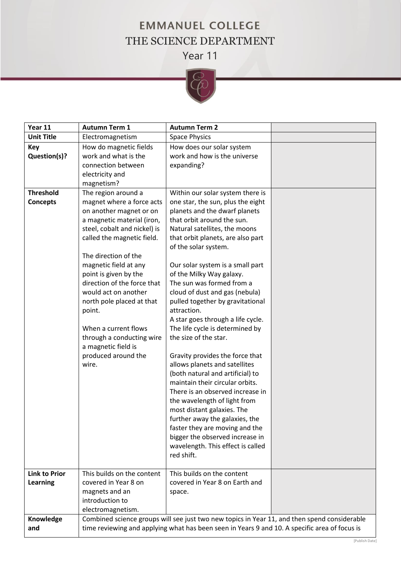## **EMMANUEL COLLEGE** THE SCIENCE DEPARTMENT Year 11



| Year 11                                                           | <b>Autumn Term 1</b>                                                                                                                                                                                                                                                             | <b>Autumn Term 2</b>                                                                                                                                                                                                                                                                                                                                                                                                                                                                                                                                                                                                                                                                                           |  |
|-------------------------------------------------------------------|----------------------------------------------------------------------------------------------------------------------------------------------------------------------------------------------------------------------------------------------------------------------------------|----------------------------------------------------------------------------------------------------------------------------------------------------------------------------------------------------------------------------------------------------------------------------------------------------------------------------------------------------------------------------------------------------------------------------------------------------------------------------------------------------------------------------------------------------------------------------------------------------------------------------------------------------------------------------------------------------------------|--|
| <b>Unit Title</b>                                                 | Electromagnetism                                                                                                                                                                                                                                                                 | <b>Space Physics</b>                                                                                                                                                                                                                                                                                                                                                                                                                                                                                                                                                                                                                                                                                           |  |
| <b>Key</b><br>Question(s)?<br><b>Threshold</b><br><b>Concepts</b> | How do magnetic fields<br>work and what is the<br>connection between<br>electricity and<br>magnetism?<br>The region around a<br>magnet where a force acts<br>on another magnet or on<br>a magnetic material (iron,<br>steel, cobalt and nickel) is<br>called the magnetic field. | How does our solar system<br>work and how is the universe<br>expanding?<br>Within our solar system there is<br>one star, the sun, plus the eight<br>planets and the dwarf planets<br>that orbit around the sun.<br>Natural satellites, the moons<br>that orbit planets, are also part                                                                                                                                                                                                                                                                                                                                                                                                                          |  |
|                                                                   | The direction of the<br>magnetic field at any<br>point is given by the<br>direction of the force that<br>would act on another<br>north pole placed at that<br>point.<br>When a current flows<br>through a conducting wire<br>a magnetic field is<br>produced around the<br>wire. | of the solar system.<br>Our solar system is a small part<br>of the Milky Way galaxy.<br>The sun was formed from a<br>cloud of dust and gas (nebula)<br>pulled together by gravitational<br>attraction.<br>A star goes through a life cycle.<br>The life cycle is determined by<br>the size of the star.<br>Gravity provides the force that<br>allows planets and satellites<br>(both natural and artificial) to<br>maintain their circular orbits.<br>There is an observed increase in<br>the wavelength of light from<br>most distant galaxies. The<br>further away the galaxies, the<br>faster they are moving and the<br>bigger the observed increase in<br>wavelength. This effect is called<br>red shift. |  |
| <b>Link to Prior</b><br><b>Learning</b>                           | This builds on the content<br>covered in Year 8 on<br>magnets and an<br>introduction to<br>electromagnetism.                                                                                                                                                                     | This builds on the content<br>covered in Year 8 on Earth and<br>space.                                                                                                                                                                                                                                                                                                                                                                                                                                                                                                                                                                                                                                         |  |
| Knowledge<br>and                                                  |                                                                                                                                                                                                                                                                                  | Combined science groups will see just two new topics in Year 11, and then spend considerable<br>time reviewing and applying what has been seen in Years 9 and 10. A specific area of focus is                                                                                                                                                                                                                                                                                                                                                                                                                                                                                                                  |  |